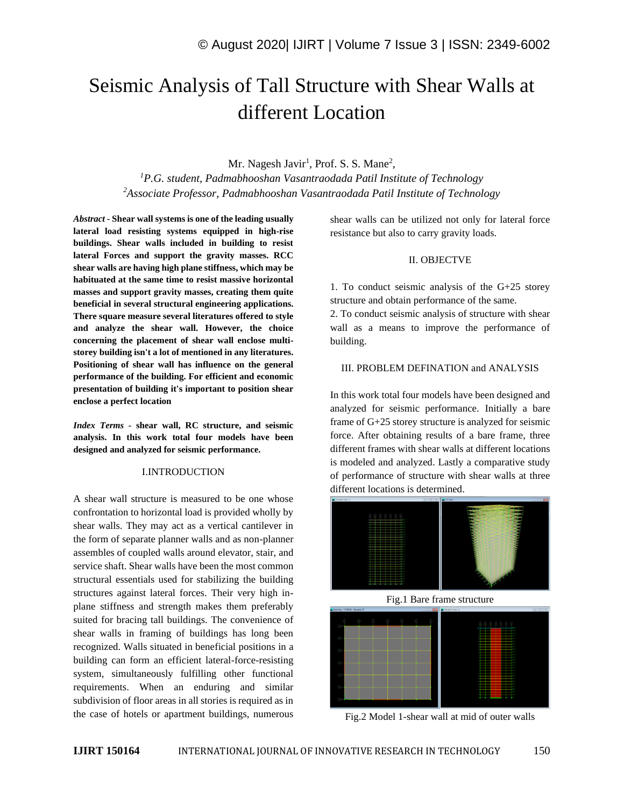# Seismic Analysis of Tall Structure with Shear Walls at different Location

# Mr. Nagesh Javir<sup>1</sup>, Prof. S. S. Mane<sup>2</sup>,

*<sup>1</sup>P.G. student, Padmabhooshan Vasantraodada Patil Institute of Technology <sup>2</sup>Associate Professor, Padmabhooshan Vasantraodada Patil Institute of Technology*

*Abstract -* **Shear wall systems is one of the leading usually lateral load resisting systems equipped in high-rise buildings. Shear walls included in building to resist lateral Forces and support the gravity masses. RCC shear walls are having high plane stiffness, which may be habituated at the same time to resist massive horizontal masses and support gravity masses, creating them quite beneficial in several structural engineering applications. There square measure several literatures offered to style and analyze the shear wall. However, the choice concerning the placement of shear wall enclose multistorey building isn't a lot of mentioned in any literatures. Positioning of shear wall has influence on the general performance of the building. For efficient and economic presentation of building it's important to position shear enclose a perfect location**

*Index Terms -* **shear wall, RC structure, and seismic analysis. In this work total four models have been designed and analyzed for seismic performance.**

# I.INTRODUCTION

A shear wall structure is measured to be one whose confrontation to horizontal load is provided wholly by shear walls. They may act as a vertical cantilever in the form of separate planner walls and as non-planner assembles of coupled walls around elevator, stair, and service shaft. Shear walls have been the most common structural essentials used for stabilizing the building structures against lateral forces. Their very high inplane stiffness and strength makes them preferably suited for bracing tall buildings. The convenience of shear walls in framing of buildings has long been recognized. Walls situated in beneficial positions in a building can form an efficient lateral-force-resisting system, simultaneously fulfilling other functional requirements. When an enduring and similar subdivision of floor areas in all stories is required as in the case of hotels or apartment buildings, numerous shear walls can be utilized not only for lateral force resistance but also to carry gravity loads.

# II. OBJECTVE

1. To conduct seismic analysis of the G+25 storey structure and obtain performance of the same.

2. To conduct seismic analysis of structure with shear wall as a means to improve the performance of building.

#### III. PROBLEM DEFINATION and ANALYSIS

In this work total four models have been designed and analyzed for seismic performance. Initially a bare frame of G+25 storey structure is analyzed for seismic force. After obtaining results of a bare frame, three different frames with shear walls at different locations is modeled and analyzed. Lastly a comparative study of performance of structure with shear walls at three different locations is determined.







Fig.2 Model 1-shear wall at mid of outer walls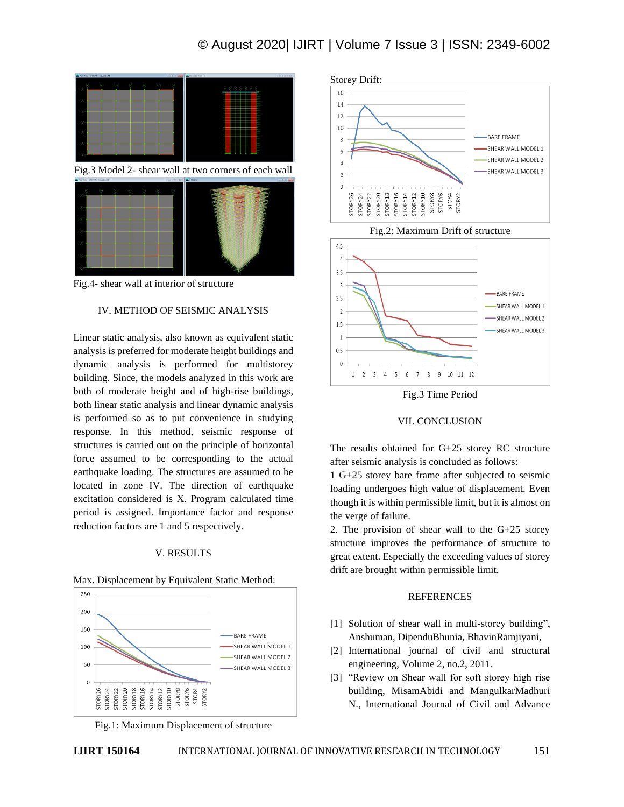# © August 2020| IJIRT | Volume 7 Issue 3 | ISSN: 2349-6002



Fig.4- shear wall at interior of structure

# IV. METHOD OF SEISMIC ANALYSIS

Linear static analysis, also known as equivalent static analysis is preferred for moderate height buildings and dynamic analysis is performed for multistorey building. Since, the models analyzed in this work are both of moderate height and of high-rise buildings, both linear static analysis and linear dynamic analysis is performed so as to put convenience in studying response. In this method, seismic response of structures is carried out on the principle of horizontal force assumed to be corresponding to the actual earthquake loading. The structures are assumed to be located in zone IV. The direction of earthquake excitation considered is X. Program calculated time period is assigned. Importance factor and response reduction factors are 1 and 5 respectively.

#### V. RESULTS

#### Max. Displacement by Equivalent Static Method:



Fig.1: Maximum Displacement of structure





Fig.3 Time Period

# VII. CONCLUSION

The results obtained for G+25 storey RC structure after seismic analysis is concluded as follows:

1 G+25 storey bare frame after subjected to seismic loading undergoes high value of displacement. Even though it is within permissible limit, but it is almost on the verge of failure.

2. The provision of shear wall to the G+25 storey structure improves the performance of structure to great extent. Especially the exceeding values of storey drift are brought within permissible limit.

# **REFERENCES**

- [1] Solution of shear wall in multi-storey building", Anshuman, DipenduBhunia, BhavinRamjiyani,
- [2] International journal of civil and structural engineering, Volume 2, no.2, 2011.
- [3] "Review on Shear wall for soft storey high rise building, MisamAbidi and MangulkarMadhuri N., International Journal of Civil and Advance